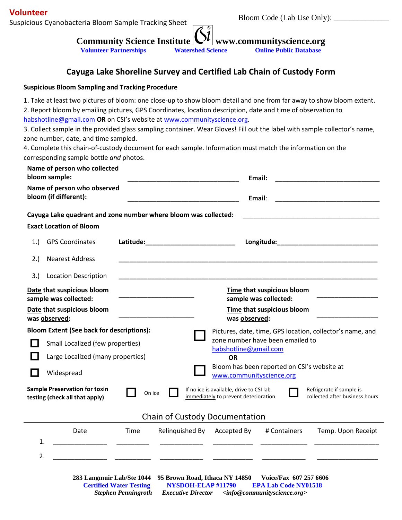## **Volunteer**

Suspicious Cyanobacteria Bloom Sample Tracking Sheet

**Community Science Institute**  $\mathbb{L}^{\mu}$  **www.communityscience.org** 

**Volunteer Partnerships Watershed Science Online Public Database**

**Cayuga Lake Shoreline Survey and Certified Lab Chain of Custody Form**

## **Suspicious Bloom Sampling and Tracking Procedure**

1. Take at least two pictures of bloom: one close-up to show bloom detail and one from far away to show bloom extent.

2. Report bloom by emailing pictures, GPS Coordinates, location description, date and time of observation to [habshotline@gmail.com](mailto:habshotline@gmail.com) **OR** on CSI's website at [www.communityscience.org.](http://www.communityscience.org/)

3. Collect sample in the provided glass sampling container. Wear Gloves! Fill out the label with sample collector's name, zone number, date, and time sampled.

4. Complete this chain-of-custody document for each sample. Information must match the information on the corresponding sample bottle *and* photos.

| Name of person who collected<br>bloom sample:                                                                                                                                                                                      |                                                      | Email:                                                                  |                    |  |
|------------------------------------------------------------------------------------------------------------------------------------------------------------------------------------------------------------------------------------|------------------------------------------------------|-------------------------------------------------------------------------|--------------------|--|
|                                                                                                                                                                                                                                    | Name of person who observed<br>bloom (if different): | Email:                                                                  |                    |  |
|                                                                                                                                                                                                                                    |                                                      | Cayuga Lake quadrant and zone number where bloom was collected:         |                    |  |
|                                                                                                                                                                                                                                    | <b>Exact Location of Bloom</b>                       |                                                                         |                    |  |
| 1.                                                                                                                                                                                                                                 | <b>GPS Coordinates</b>                               | Latitude:                                                               |                    |  |
| 2.)                                                                                                                                                                                                                                | <b>Nearest Address</b>                               |                                                                         |                    |  |
| 3.)                                                                                                                                                                                                                                | <b>Location Description</b>                          |                                                                         |                    |  |
| Date that suspicious bloom<br>sample was collected:                                                                                                                                                                                |                                                      | Time that suspicious bloom<br>sample was collected:                     |                    |  |
| Date that suspicious bloom                                                                                                                                                                                                         |                                                      | Time that suspicious bloom                                              |                    |  |
| was observed:                                                                                                                                                                                                                      |                                                      | was observed:                                                           |                    |  |
| <b>Bloom Extent (See back for descriptions):</b>                                                                                                                                                                                   |                                                      | Pictures, date, time, GPS location, collector's name, and               |                    |  |
|                                                                                                                                                                                                                                    | Small Localized (few properties)                     | zone number have been emailed to                                        |                    |  |
|                                                                                                                                                                                                                                    | Large Localized (many properties)                    | habshotline@gmail.com<br><b>OR</b>                                      |                    |  |
|                                                                                                                                                                                                                                    | Widespread                                           | Bloom has been reported on CSI's website at<br>www.communityscience.org |                    |  |
| <b>Sample Preservation for toxin</b><br>If no ice is available, drive to CSI lab<br>Refrigerate if sample is<br>On ice<br>collected after business hours<br>immediately to prevent deterioration<br>testing (check all that apply) |                                                      |                                                                         |                    |  |
| <b>Chain of Custody Documentation</b>                                                                                                                                                                                              |                                                      |                                                                         |                    |  |
| 1.                                                                                                                                                                                                                                 | Date                                                 | Time<br>Relinquished By<br>Accepted By<br># Containers                  | Temp. Upon Receipt |  |
| 2.                                                                                                                                                                                                                                 |                                                      |                                                                         |                    |  |
|                                                                                                                                                                                                                                    |                                                      |                                                                         |                    |  |

**283 Langmuir Lab/Ste 1044 95 Brown Road, Ithaca NY 14850 Voice/Fax 607 257 6606 Certified Water Testing NYSDOH-ELAP #11790 EPA Lab Code NY01518** *Stephen Penningroth Executive Director <info@communityscience.org>*